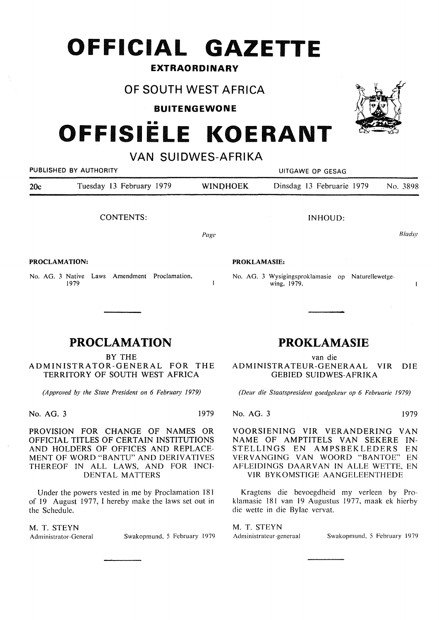## **OFFICIAL GAZETTE**

#### **EXTRAORDINARY**

## **OF SOUTH WEST AFRICA**

**BUITENGEWONE** 

# **OFFISIELE KOERANT**

### **VAN SUIDWES-AFRIKA**

| PUBLISHED BY AUTHORITY |                                                       | UITGAWE OP GESAG |                                                                  |  |
|------------------------|-------------------------------------------------------|------------------|------------------------------------------------------------------|--|
| 20c                    | Tuesday 13 February 1979                              | <b>WINDHOEK</b>  | Dinsdag 13 Februarie 1979<br>No. 3898                            |  |
|                        | <b>CONTENTS:</b>                                      |                  | INHOUD:                                                          |  |
|                        |                                                       | Page             | Bladsy                                                           |  |
| <b>PROCLAMATION:</b>   |                                                       |                  | <b>PROKLAMASIE:</b>                                              |  |
|                        | No. AG. 3 Native Laws Amendment Proclamation,<br>1979 |                  | No. AG. 3 Wysigingsproklamasie op Naturellewetge-<br>wing. 1979. |  |

No. AG. 3 Native Laws Amendment Proclamation. 1979

## **PROCLAMATION**

BY THE ADMINISTRATOR-GENERAL FOR THE TERRITORY OF SOUTH WEST AFRICA

*(Approved by the State President on 6 February 1979)* 

No. AG. 3 1979

PROVISION FOR CHANGE OF NAMES OR OFFICIAL TITLES OF CERTAIN INSTITUTIONS AND HOLDERS OF OFFICES AND REPLACE-MENT OF WORD "BANTU" AND DERIVATIVES THEREOF IN ALL LAWS, AND FOR INCI-DENTAL MATTERS

Under the powers vested in me by Proclamation 181 of 19 August 1977, I hereby make the Jaws set out in the Schedule.

M. T. **STEYN** 

Swakopmund, 5 February 1979

## **PROKLAMASIE**

wing. 1979.

van die ADMINISTRATEUR-GENERAAL VIR DIE GEBIED SUIDWES-AFRIKA

*(Deur die Staatspresident goedgekeur op 6 Februarie 1979)* 

No. AG. 3 1979

VOORSIENING VIR VERANDERING VAN NAME OF AMPTITELS VAN SEKERE IN-STELLINGS EN AMPSBEKLEDERS EN VER VANGING VAN WOORD "BANTOE" EN AFLEIDINGS DAAR VAN IN ALLE WETTE, EN VIR BYKOMSTIGE AANGELEENTHEDE

Kragtens die bevoegdheid my verleen by Proklamasie 181 van 19 Augustus 1977, maak ek hierby die wette in die Bylae vervat.

M. T. STEYN

Administrateur-generaal Swakopmund, 5 February 1979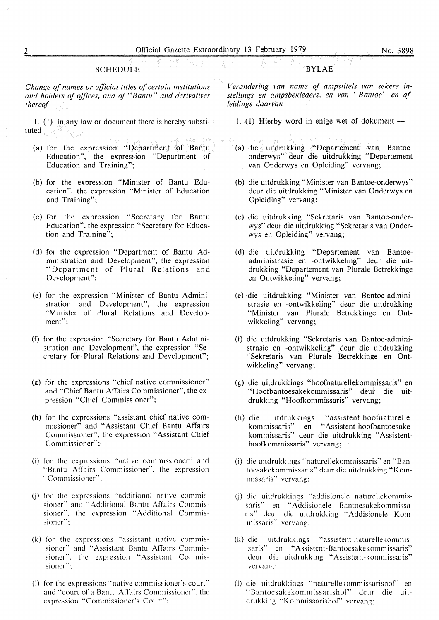#### **SCHEDULE**

*Change of names or official titles of certain institutions and holders of offices, and of "Bantu" and derivatives thereof* 

1. (1) In any law or document there is hereby substituted  $-$ 

- (a) for the expression "Department of Bantu Education", the expression "Department of Education and Training";
- (b) for the expression "Minister of Bantu Education", the expression "Minister of Education and Training";
- (c) for the expression "Secretary for Bantu Education", the expression "Secretary for Education and Training";
- (d) for the expression "Department of Bantu Administration and Development", the expression "Department of Plural Relations and Development";
- (c) for the expression "Minister of Bantu Administration and Development", the expression "Minister of Plural Relations and Development";
- (f) for the expression "Secretary for Bantu Administration and Development", the expression "Secretary for Plural Relations and Development";
- (g) for the expressions "chief native commissioner" and "Chief Bantu Affairs Commissioner", the expression "Chief Commissioner";
- (h) for the expressions "assistant chief native commissioner" and "Assistant Chief Bantu Affairs Commissioner", the expression "Assistant Chief Commissioner";
- (i) for the expressions "native commissioner" and "Bantu Affairs Commissioner", the expression "Commissioner";
- (i) for the expressions "additional native commissioner" and "Additional Bantu Affairs Commissioner", the expression "Additional. Commissioner";
- (k) for the expressions "assistant native commissioner" and "Assistant Bantu Affairs Commissioner", the expression "Assistant Commissioner";
- (I) for the expressions "native commissioner's court" and "court of a Bantu Affairs Commissioner", the expression "Commissioner's Court";

#### **BYLAE**

*Verandering van name of ampstitels van sekere instellings en ampsbekleders, en van "Bantoe" en afleidings daarvan* 

1. (1) Hierby word in enige wet of dokument  $-$ 

- (a) die uitdrukking "Departement van Bantoeonderwys" deur die uitdrukking "Departement van Onderwys en Opleiding" vervang;
- (b) die uitdrukking "Minister van Bantoe-onderwys" deur die uitdrukking "Minister van Onderwys en Opleiding" vervang;
- (c) die uitdrukking "Sekretaris van Bantoe-onderwys" deur die uitdrukking "Sekretaris van Onderwys en Opleiding" vervang;
- (d) die uitdrukking "Departement van Bantoeadministrasie en -ontwikkeling" deur die uitdrukking "Departement van Plurale Betrekkinge en Ontwikkeling" vervang;
- (e) ·die uitdrukking "Minister van Bantoe-administrasie en -ontwikkeling" deur die uitdrukking "Minister van Plurale Betrekkinge en Ontwikkeling" vervang;
- (f) die uitdrukking "Sekretaris van Bantoe-administrasie en -ontwikkeling" deur die uitdrukking "Sekretaris van Plurale Betrekkinge en Ontwikkeling" vervang;
- (g) die uitdrukkings "hoofnaturellekommissaris" en "Hoofbantoesakekommissaris" deur die uitdrukking "Hoofkommissaris" vervang;
- (h) die uitdrukkings "assistent-hoofnaturellekommissaris" en "Assistent-hoofbantoesakekommissaris" deur die uitdrukking "Assistenthoofkommissaris" vervang;
- (i) die uitdrukkings "naturellekommissaris" en "Bantoesakekommissaris" deur die uitdrukking "Kommissaris" vervang;
- (j) die uitdrukkings "addisionele naturellekommissaris" en "Addisionele Bantoesakekommissaris" deur die uitdrukking "Addisionele Kommissaris'' vervang;
- (k) die uitdrukkings "assistent-naturellekommis- . saris" en "Assistent-Bantoesakekommissaris" deur die uitdrukking "Assistent-kommissaris" vervang;
- (I) die uitdrukkings "naturellekommissarishor' en "Bantoesakekommissarishor' deur die uitdrukking "Kommissarishof" vervang;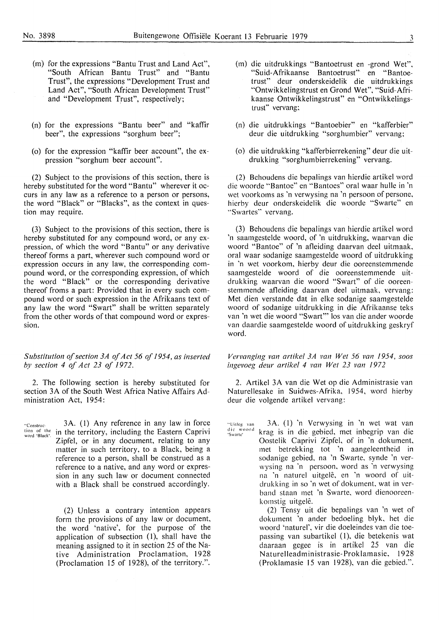- (m) for the expressions "Bantu Trust and Land Act", "South African Bantu Trust" and "Bantu Trust", the expressions "Development Trust and Land Act", "South African Development Trust" and "Development Trust", respectively;
- (n) for the expressions "Bantu beer" and "kaffir beer", the expressions "sorghum beer";
- (o) for the expression "kaffir beer account", the expression "sorghum beer account".

(2) Subject to the provisions of this section, there is hereby substituted for the word "Bantu" wherever it occurs in any law as a reference to a person or persons, the word "Black" or "Blacks", as the context in question may require.

(3) Subject to the provisions of this section, there is hereby substituted for any compound word, or any expression, of which the word "Bantu" or any derivative thereof forms a part, wherever such compound word or expression occurs in any law, the corresponding compound word, or the corresponding expression, of which the word "Black" or the corresponding derivative thereof froms a part: Provided that in every such compound word or such expression in the Afrikaans text of any law the word "Swart" shall be written separately from the other words of that compound word or expression.

*Substitution of section 3A of Act 56 of 1954, as inserted by section 4 of Act 23 of 1972.* 

2. The following section is hereby substituted for section 3A of the South West Africa Native Affairs Administration Act, 1954:

Womstrue: 3A. (1) Any felcience in any law in force<br>tion of the in the territory, including the Eastern Caprivi 3A. (1) Any reference in any law in force Zipfel, or in any document, relating to any matter in such territory, to a Black, being a reference to a person, shall be construed as a reference to a native, and any word or expression in any such law or document connected with a Black shall be construed accordingly.

> (2) Unless a contrary intention appears form the provisions of any law or document, the word 'native', for the purpose of the application of subsection (1), shall have the meaning assigned to it in section 25 of the Native Administration Proclamation, 1928 (Proclamation 15 of 1928), of the territory.".

- (m) die uitdrukkings "Bantoetrust en -grond Wet", "Suid-Afrikaanse Bantoetrust" en "Bantoetrust" deur onderskeidelik die uitdrukkings "Ontwikkelingstrust en Grond Wet", "Suid-Afrikaanse Ontwikkelingstrust" en "Ontwikkelingstrusf' vervang;
- (n) die uitdrukkings "Bantoebier" en "kafferbier" deur die uitdrukking "sorghumbier" vervang;
- (o) die uitdrukking "kafferbierrekening" deur die uitdrukking "sorghumbierrekening" vervang.

(2) Behoudens die bepalings van hierdie artikel word die woorde "Bantoe" en "Bantoes" oral waar hulle in 'n wet voorkoms as 'n verwysing na 'n persoon of persone, hierby deur onderskeidelik die woorde "Swarte" en "Swartes" vervang.

(3) Behoudens die bepalings van hierdie artikel word 'n saamgestelde woord, of 'n uitdrukking, waarvan die woord "Bantoe" of 'n afleiding daarvan deel uitmaak, oral waar sodanige saamgestelde woord of uitdrukking in 'n wet voorkom. hierby deur die ooreenstemmende saamgestelde woord of die ooreenstemmende uitdrukking waarvan die woord "Swart" of die ooreenstemmende afleiding daarvan deel uitmaak, vervang: Met dien verstande dat in elke sodanige saamgestelde woord of sodanige uitdrukking in die Afrikaanse teks van 'n wet die woord "Swart"' los van die ander woorde van daardie saamgestelde woord of uitdrukking geskryf word.

*Vervanging van artikel 3A van Wet 56 van 1954, soos ingevoeg deur artikel 4 van Wet 23 van 1972* 

2. Artikel 3A van die Wet op die Administrasie van Naturellesake in Suidwes-Afrika, 1954, word hierby deur die volgende artikel vervang:

"Uitlcg van die woord<br>'Swarte' 3A. (]) 'n Verwysing in 'n wet wat van krag is in die gebied, met inbegrip van die Oostelik Caprivi Zipfel, of in 'n dokument, met betrekking tot 'n aangeleentheid in sodanige gebied, na 'n Swartc, synde 'n verwysing na 'n pcrsoon. word as 'n verwysing na 'n naturel uitgelê, en 'n woord of uitdrukking in so 'n wet of dokument. wat in verband staan met 'n Swarte, word dienooreenkomstig uitgelê.

> (2) Tensy uit die bepalings van 'n wet of dokument 'n ander bedoeling blyk, het die woord 'naturel', vir die doeleindes van die toepassing van subartikel (I), die betekenis wat daaraan gegee is in artikel 25 van die Naturelleadministrasie-Proklamasie, 1928 (Proklamasie 15 van 1928), van die gebied.".